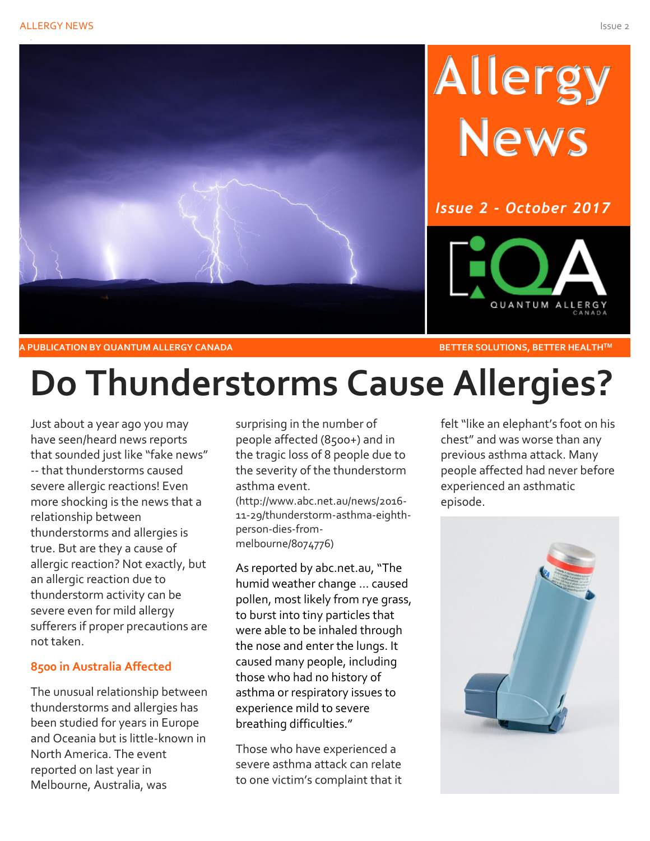

### **A PUBLICATION BY QUANTUM ALLERGY CANADA** BETTER SOLUTIONS, BETTER HEALTH<sup>™</sup>

## **Do Thunderstorms Cause Allergies?**

Just about a year ago you may have seen/heard news reports that sounded just like "fake news" -- that thunderstorms caused severe allergic reactions! Even more shocking is the news that a relationship between thunderstorms and allergies is true. But are they a cause of allergic reaction? Not exactly, but an allergic reaction due to thunderstorm activity can be severe even for mild allergy sufferers if proper precautions are not taken.

### **8500 in Australia Affected**

The unusual relationship between thunderstorms and allergies has been studied for years in Europe and Oceania but is little-known in North America. The event reported on last year in Melbourne, Australia, was

surprising in the number of people affected (8500+) and in the tragic loss of 8 people due to the severity of the thunderstorm asthma event.

(http://www.abc.net.au/news/2016- 11-29/thunderstorm-asthma-eighthperson-dies-frommelbourne/8074776)

As reported by abc.net.au, "The humid weather change … caused pollen, most likely from rye grass, to burst into tiny particles that were able to be inhaled through the nose and enter the lungs. It caused many people, including those who had no history of asthma or respiratory issues to experience mild to severe breathing difficulties."

Those who have experienced a severe asthma attack can relate to one victim's complaint that it felt "like an elephant's foot on his chest" and was worse than any previous asthma attack. Many people affected had never before experienced an asthmatic episode.